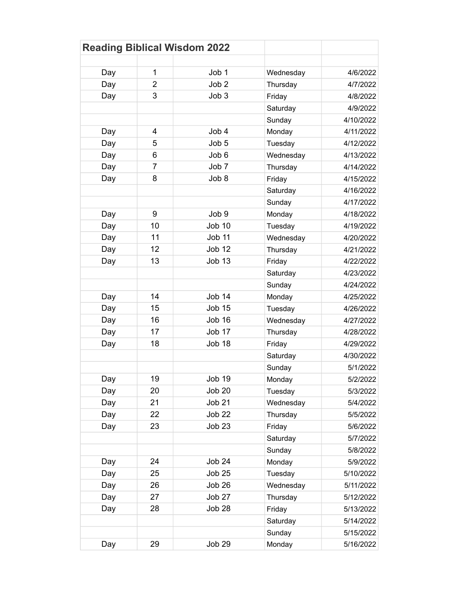| <b>Reading Biblical Wisdom 2022</b> |                |                  |           |           |
|-------------------------------------|----------------|------------------|-----------|-----------|
|                                     |                |                  |           |           |
| Day                                 | 1              | Job 1            | Wednesday | 4/6/2022  |
| Day                                 | $\overline{2}$ | Job <sub>2</sub> | Thursday  | 4/7/2022  |
| Day                                 | 3              | Job <sub>3</sub> | Friday    | 4/8/2022  |
|                                     |                |                  | Saturday  | 4/9/2022  |
|                                     |                |                  | Sunday    | 4/10/2022 |
| Day                                 | 4              | Job 4            | Monday    | 4/11/2022 |
| Day                                 | 5              | Job 5            | Tuesday   | 4/12/2022 |
| Day                                 | 6              | Job 6            | Wednesday | 4/13/2022 |
| Day                                 | 7              | Job 7            | Thursday  | 4/14/2022 |
| Day                                 | 8              | Job 8            | Friday    | 4/15/2022 |
|                                     |                |                  | Saturday  | 4/16/2022 |
|                                     |                |                  | Sunday    | 4/17/2022 |
| Day                                 | 9              | Job <sub>9</sub> | Monday    | 4/18/2022 |
| Day                                 | 10             | <b>Job 10</b>    | Tuesday   | 4/19/2022 |
| Day                                 | 11             | <b>Job 11</b>    | Wednesday | 4/20/2022 |
| Day                                 | 12             | <b>Job 12</b>    | Thursday  | 4/21/2022 |
| Day                                 | 13             | <b>Job 13</b>    | Friday    | 4/22/2022 |
|                                     |                |                  | Saturday  | 4/23/2022 |
|                                     |                |                  | Sunday    | 4/24/2022 |
| Day                                 | 14             | <b>Job 14</b>    | Monday    | 4/25/2022 |
| Day                                 | 15             | <b>Job 15</b>    | Tuesday   | 4/26/2022 |
| Day                                 | 16             | Job 16           | Wednesday | 4/27/2022 |
| Day                                 | 17             | Job 17           | Thursday  | 4/28/2022 |
| Day                                 | 18             | Job 18           | Friday    | 4/29/2022 |
|                                     |                |                  | Saturday  | 4/30/2022 |
|                                     |                |                  | Sunday    | 5/1/2022  |
| Day                                 | 19             | Job 19           | Monday    | 5/2/2022  |
| Day                                 | 20             | <b>Job 20</b>    | Tuesday   | 5/3/2022  |
| Day                                 | 21             | <b>Job 21</b>    | Wednesday | 5/4/2022  |
| Day                                 | 22             | <b>Job 22</b>    | Thursday  | 5/5/2022  |
| Day                                 | 23             | <b>Job 23</b>    | Friday    | 5/6/2022  |
|                                     |                |                  | Saturday  | 5/7/2022  |
|                                     |                |                  | Sunday    | 5/8/2022  |
| Day                                 | 24             | <b>Job 24</b>    | Monday    | 5/9/2022  |
| Day                                 | 25             | <b>Job 25</b>    | Tuesday   | 5/10/2022 |
| Day                                 | 26             | Job 26           | Wednesday | 5/11/2022 |
| Day                                 | 27             | Job 27           | Thursday  | 5/12/2022 |
| Day                                 | 28             | Job 28           | Friday    | 5/13/2022 |
|                                     |                |                  | Saturday  | 5/14/2022 |
|                                     |                |                  | Sunday    | 5/15/2022 |
| Day                                 | 29             | <b>Job 29</b>    | Monday    | 5/16/2022 |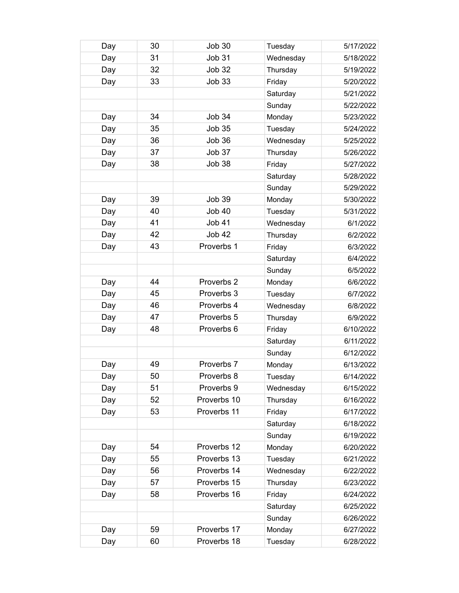| Day | 30 | <b>Job 30</b> | Tuesday   | 5/17/2022 |
|-----|----|---------------|-----------|-----------|
| Day | 31 | <b>Job 31</b> | Wednesday | 5/18/2022 |
| Day | 32 | <b>Job 32</b> | Thursday  | 5/19/2022 |
| Day | 33 | <b>Job 33</b> | Friday    | 5/20/2022 |
|     |    |               | Saturday  | 5/21/2022 |
|     |    |               | Sunday    | 5/22/2022 |
| Day | 34 | <b>Job 34</b> | Monday    | 5/23/2022 |
| Day | 35 | <b>Job 35</b> | Tuesday   | 5/24/2022 |
| Day | 36 | <b>Job 36</b> | Wednesday | 5/25/2022 |
| Day | 37 | Job 37        | Thursday  | 5/26/2022 |
| Day | 38 | <b>Job 38</b> | Friday    | 5/27/2022 |
|     |    |               | Saturday  | 5/28/2022 |
|     |    |               | Sunday    | 5/29/2022 |
| Day | 39 | <b>Job 39</b> | Monday    | 5/30/2022 |
| Day | 40 | <b>Job 40</b> | Tuesday   | 5/31/2022 |
| Day | 41 | <b>Job 41</b> | Wednesday | 6/1/2022  |
| Day | 42 | <b>Job 42</b> | Thursday  | 6/2/2022  |
| Day | 43 | Proverbs 1    | Friday    | 6/3/2022  |
|     |    |               | Saturday  | 6/4/2022  |
|     |    |               | Sunday    | 6/5/2022  |
| Day | 44 | Proverbs 2    | Monday    | 6/6/2022  |
| Day | 45 | Proverbs 3    | Tuesday   | 6/7/2022  |
| Day | 46 | Proverbs 4    | Wednesday | 6/8/2022  |
| Day | 47 | Proverbs 5    | Thursday  | 6/9/2022  |
| Day | 48 | Proverbs 6    | Friday    | 6/10/2022 |
|     |    |               | Saturday  | 6/11/2022 |
|     |    |               | Sunday    | 6/12/2022 |
| Day | 49 | Proverbs 7    | Monday    | 6/13/2022 |
| Day | 50 | Proverbs 8    | Tuesday   | 6/14/2022 |
| Day | 51 | Proverbs 9    | Wednesday | 6/15/2022 |
| Day | 52 | Proverbs 10   | Thursday  | 6/16/2022 |
| Day | 53 | Proverbs 11   | Friday    | 6/17/2022 |
|     |    |               | Saturday  | 6/18/2022 |
|     |    |               | Sunday    | 6/19/2022 |
| Day | 54 | Proverbs 12   | Monday    | 6/20/2022 |
| Day | 55 | Proverbs 13   | Tuesday   | 6/21/2022 |
| Day | 56 | Proverbs 14   | Wednesday | 6/22/2022 |
| Day | 57 | Proverbs 15   | Thursday  | 6/23/2022 |
| Day | 58 | Proverbs 16   | Friday    | 6/24/2022 |
|     |    |               | Saturday  | 6/25/2022 |
|     |    |               | Sunday    | 6/26/2022 |
| Day | 59 | Proverbs 17   | Monday    | 6/27/2022 |
| Day | 60 | Proverbs 18   | Tuesday   | 6/28/2022 |